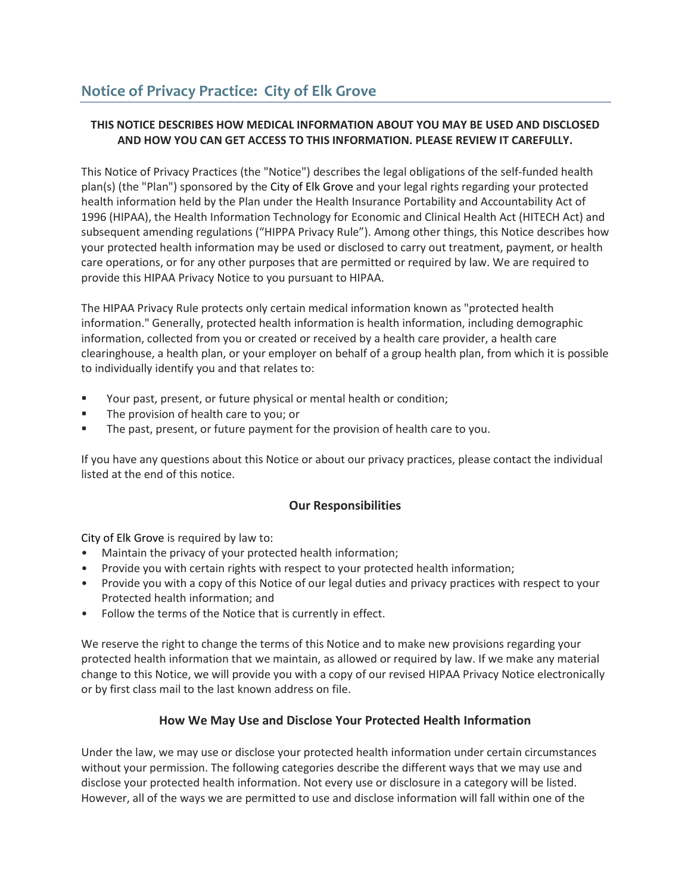# **THIS NOTICE DESCRIBES HOW MEDICAL INFORMATION ABOUT YOU MAY BE USED AND DISCLOSED AND HOW YOU CAN GET ACCESS TO THIS INFORMATION. PLEASE REVIEW IT CAREFULLY.**

This Notice of Privacy Practices (the "Notice") describes the legal obligations of the self-funded health plan(s) (the "Plan") sponsored by the City of Elk Grove and your legal rights regarding your protected health information held by the Plan under the Health Insurance Portability and Accountability Act of 1996 (HIPAA), the Health Information Technology for Economic and Clinical Health Act (HITECH Act) and subsequent amending regulations ("HIPPA Privacy Rule"). Among other things, this Notice describes how your protected health information may be used or disclosed to carry out treatment, payment, or health care operations, or for any other purposes that are permitted or required by law. We are required to provide this HIPAA Privacy Notice to you pursuant to HIPAA.

The HIPAA Privacy Rule protects only certain medical information known as "protected health information." Generally, protected health information is health information, including demographic information, collected from you or created or received by a health care provider, a health care clearinghouse, a health plan, or your employer on behalf of a group health plan, from which it is possible to individually identify you and that relates to:

- Your past, present, or future physical or mental health or condition;
- **The provision of health care to you; or**
- The past, present, or future payment for the provision of health care to you.

If you have any questions about this Notice or about our privacy practices, please contact the individual listed at the end of this notice.

# **Our Responsibilities**

City of Elk Grove is required by law to:

- Maintain the privacy of your protected health information;
- Provide you with certain rights with respect to your protected health information;
- Provide you with a copy of this Notice of our legal duties and privacy practices with respect to your Protected health information; and
- Follow the terms of the Notice that is currently in effect.

We reserve the right to change the terms of this Notice and to make new provisions regarding your protected health information that we maintain, as allowed or required by law. If we make any material change to this Notice, we will provide you with a copy of our revised HIPAA Privacy Notice electronically or by first class mail to the last known address on file.

# **How We May Use and Disclose Your Protected Health Information**

Under the law, we may use or disclose your protected health information under certain circumstances without your permission. The following categories describe the different ways that we may use and disclose your protected health information. Not every use or disclosure in a category will be listed. However, all of the ways we are permitted to use and disclose information will fall within one of the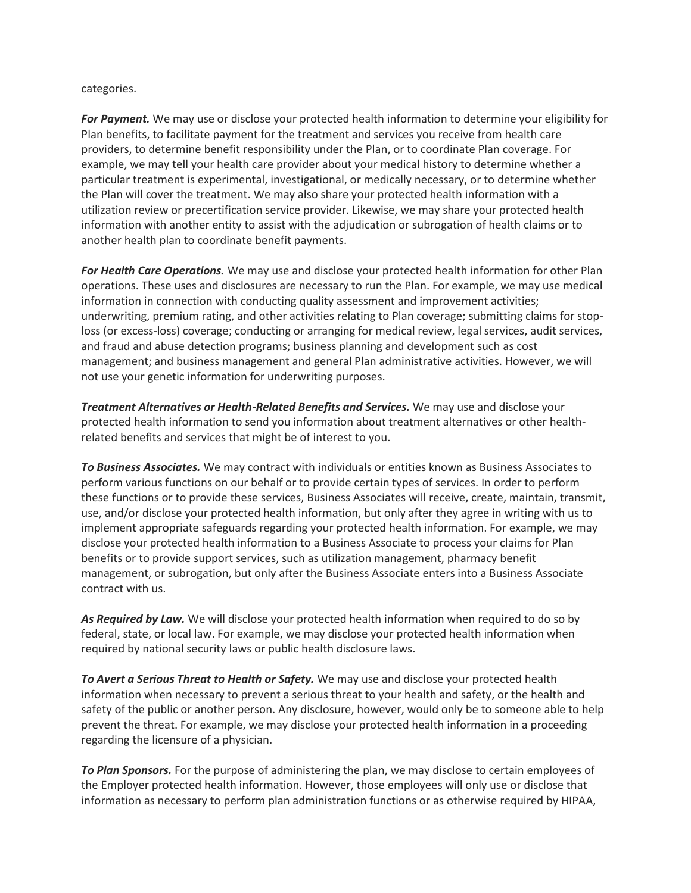#### categories.

*For Payment.* We may use or disclose your protected health information to determine your eligibility for Plan benefits, to facilitate payment for the treatment and services you receive from health care providers, to determine benefit responsibility under the Plan, or to coordinate Plan coverage. For example, we may tell your health care provider about your medical history to determine whether a particular treatment is experimental, investigational, or medically necessary, or to determine whether the Plan will cover the treatment. We may also share your protected health information with a utilization review or precertification service provider. Likewise, we may share your protected health information with another entity to assist with the adjudication or subrogation of health claims or to another health plan to coordinate benefit payments.

*For Health Care Operations.* We may use and disclose your protected health information for other Plan operations. These uses and disclosures are necessary to run the Plan. For example, we may use medical information in connection with conducting quality assessment and improvement activities; underwriting, premium rating, and other activities relating to Plan coverage; submitting claims for stoploss (or excess-loss) coverage; conducting or arranging for medical review, legal services, audit services, and fraud and abuse detection programs; business planning and development such as cost management; and business management and general Plan administrative activities. However, we will not use your genetic information for underwriting purposes.

*Treatment Alternatives or Health-Related Benefits and Services.* We may use and disclose your protected health information to send you information about treatment alternatives or other healthrelated benefits and services that might be of interest to you.

*To Business Associates.* We may contract with individuals or entities known as Business Associates to perform various functions on our behalf or to provide certain types of services. In order to perform these functions or to provide these services, Business Associates will receive, create, maintain, transmit, use, and/or disclose your protected health information, but only after they agree in writing with us to implement appropriate safeguards regarding your protected health information. For example, we may disclose your protected health information to a Business Associate to process your claims for Plan benefits or to provide support services, such as utilization management, pharmacy benefit management, or subrogation, but only after the Business Associate enters into a Business Associate contract with us.

*As Required by Law.* We will disclose your protected health information when required to do so by federal, state, or local law. For example, we may disclose your protected health information when required by national security laws or public health disclosure laws.

*To Avert a Serious Threat to Health or Safety.* We may use and disclose your protected health information when necessary to prevent a serious threat to your health and safety, or the health and safety of the public or another person. Any disclosure, however, would only be to someone able to help prevent the threat. For example, we may disclose your protected health information in a proceeding regarding the licensure of a physician.

*To Plan Sponsors.* For the purpose of administering the plan, we may disclose to certain employees of the Employer protected health information. However, those employees will only use or disclose that information as necessary to perform plan administration functions or as otherwise required by HIPAA,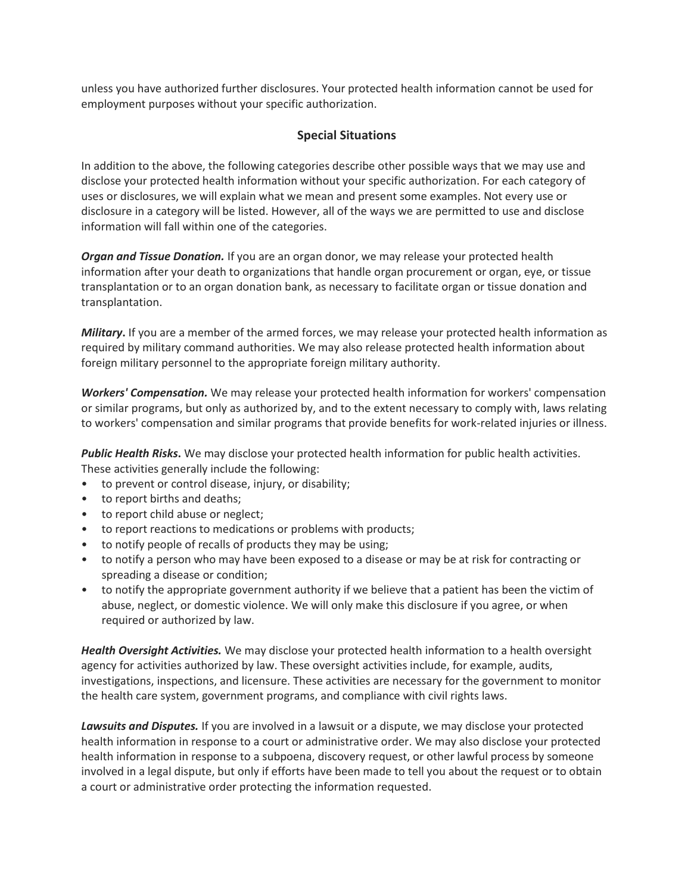unless you have authorized further disclosures. Your protected health information cannot be used for employment purposes without your specific authorization.

### **Special Situations**

In addition to the above, the following categories describe other possible ways that we may use and disclose your protected health information without your specific authorization. For each category of uses or disclosures, we will explain what we mean and present some examples. Not every use or disclosure in a category will be listed. However, all of the ways we are permitted to use and disclose information will fall within one of the categories.

*Organ and Tissue Donation.* If you are an organ donor, we may release your protected health information after your death to organizations that handle organ procurement or organ, eye, or tissue transplantation or to an organ donation bank, as necessary to facilitate organ or tissue donation and transplantation.

*Military***.** If you are a member of the armed forces, we may release your protected health information as required by military command authorities. We may also release protected health information about foreign military personnel to the appropriate foreign military authority.

*Workers' Compensation.* We may release your protected health information for workers' compensation or similar programs, but only as authorized by, and to the extent necessary to comply with, laws relating to workers' compensation and similar programs that provide benefits for work-related injuries or illness.

*Public Health Risks***.** We may disclose your protected health information for public health activities. These activities generally include the following:

- to prevent or control disease, injury, or disability;
- to report births and deaths;
- to report child abuse or neglect;
- to report reactions to medications or problems with products;
- to notify people of recalls of products they may be using;
- to notify a person who may have been exposed to a disease or may be at risk for contracting or spreading a disease or condition;
- to notify the appropriate government authority if we believe that a patient has been the victim of abuse, neglect, or domestic violence. We will only make this disclosure if you agree, or when required or authorized by law.

*Health Oversight Activities.* We may disclose your protected health information to a health oversight agency for activities authorized by law. These oversight activities include, for example, audits, investigations, inspections, and licensure. These activities are necessary for the government to monitor the health care system, government programs, and compliance with civil rights laws.

*Lawsuits and Disputes.* If you are involved in a lawsuit or a dispute, we may disclose your protected health information in response to a court or administrative order. We may also disclose your protected health information in response to a subpoena, discovery request, or other lawful process by someone involved in a legal dispute, but only if efforts have been made to tell you about the request or to obtain a court or administrative order protecting the information requested.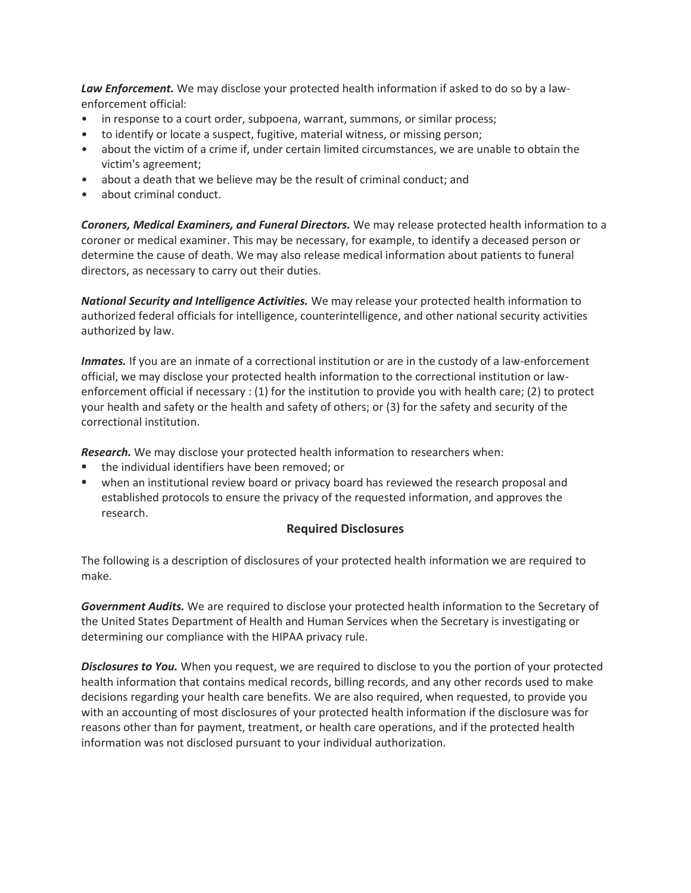*Law Enforcement.* We may disclose your protected health information if asked to do so by a lawenforcement official:

- in response to a court order, subpoena, warrant, summons, or similar process;
- to identify or locate a suspect, fugitive, material witness, or missing person;
- about the victim of a crime if, under certain limited circumstances, we are unable to obtain the victim's agreement;
- about a death that we believe may be the result of criminal conduct; and
- about criminal conduct.

*Coroners, Medical Examiners, and Funeral Directors.* We may release protected health information to a coroner or medical examiner. This may be necessary, for example, to identify a deceased person or determine the cause of death. We may also release medical information about patients to funeral directors, as necessary to carry out their duties.

*National Security and Intelligence Activities.* We may release your protected health information to authorized federal officials for intelligence, counterintelligence, and other national security activities authorized by law.

*Inmates.* If you are an inmate of a correctional institution or are in the custody of a law-enforcement official, we may disclose your protected health information to the correctional institution or lawenforcement official if necessary : (1) for the institution to provide you with health care; (2) to protect your health and safety or the health and safety of others; or (3) for the safety and security of the correctional institution.

*Research.* We may disclose your protected health information to researchers when:

- the individual identifiers have been removed; or
- when an institutional review board or privacy board has reviewed the research proposal and established protocols to ensure the privacy of the requested information, and approves the research.

#### **Required Disclosures**

The following is a description of disclosures of your protected health information we are required to make.

*Government Audits.* We are required to disclose your protected health information to the Secretary of the United States Department of Health and Human Services when the Secretary is investigating or determining our compliance with the HIPAA privacy rule.

*Disclosures to You.* When you request, we are required to disclose to you the portion of your protected health information that contains medical records, billing records, and any other records used to make decisions regarding your health care benefits. We are also required, when requested, to provide you with an accounting of most disclosures of your protected health information if the disclosure was for reasons other than for payment, treatment, or health care operations, and if the protected health information was not disclosed pursuant to your individual authorization.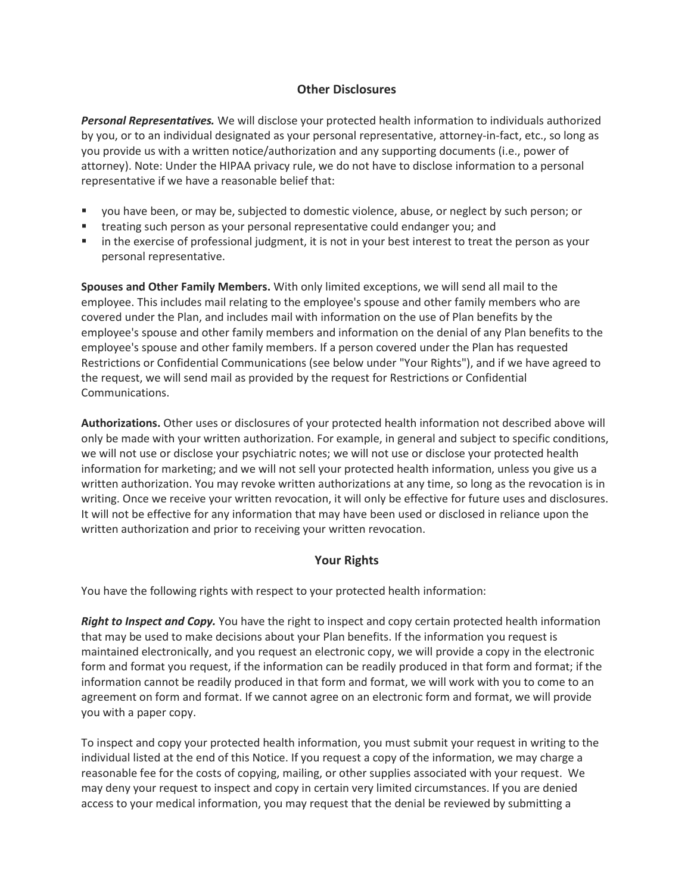# **Other Disclosures**

*Personal Representatives.* We will disclose your protected health information to individuals authorized by you, or to an individual designated as your personal representative, attorney-in-fact, etc., so long as you provide us with a written notice/authorization and any supporting documents (i.e., power of attorney). Note: Under the HIPAA privacy rule, we do not have to disclose information to a personal representative if we have a reasonable belief that:

- you have been, or may be, subjected to domestic violence, abuse, or neglect by such person; or
- treating such person as your personal representative could endanger you; and
- in the exercise of professional judgment, it is not in your best interest to treat the person as your personal representative.

**Spouses and Other Family Members.** With only limited exceptions, we will send all mail to the employee. This includes mail relating to the employee's spouse and other family members who are covered under the Plan, and includes mail with information on the use of Plan benefits by the employee's spouse and other family members and information on the denial of any Plan benefits to the employee's spouse and other family members. If a person covered under the Plan has requested Restrictions or Confidential Communications (see below under "Your Rights"), and if we have agreed to the request, we will send mail as provided by the request for Restrictions or Confidential Communications.

**Authorizations.** Other uses or disclosures of your protected health information not described above will only be made with your written authorization. For example, in general and subject to specific conditions, we will not use or disclose your psychiatric notes; we will not use or disclose your protected health information for marketing; and we will not sell your protected health information, unless you give us a written authorization. You may revoke written authorizations at any time, so long as the revocation is in writing. Once we receive your written revocation, it will only be effective for future uses and disclosures. It will not be effective for any information that may have been used or disclosed in reliance upon the written authorization and prior to receiving your written revocation.

# **Your Rights**

You have the following rights with respect to your protected health information:

*Right to Inspect and Copy.* You have the right to inspect and copy certain protected health information that may be used to make decisions about your Plan benefits. If the information you request is maintained electronically, and you request an electronic copy, we will provide a copy in the electronic form and format you request, if the information can be readily produced in that form and format; if the information cannot be readily produced in that form and format, we will work with you to come to an agreement on form and format. If we cannot agree on an electronic form and format, we will provide you with a paper copy.

To inspect and copy your protected health information, you must submit your request in writing to the individual listed at the end of this Notice. If you request a copy of the information, we may charge a reasonable fee for the costs of copying, mailing, or other supplies associated with your request. We may deny your request to inspect and copy in certain very limited circumstances. If you are denied access to your medical information, you may request that the denial be reviewed by submitting a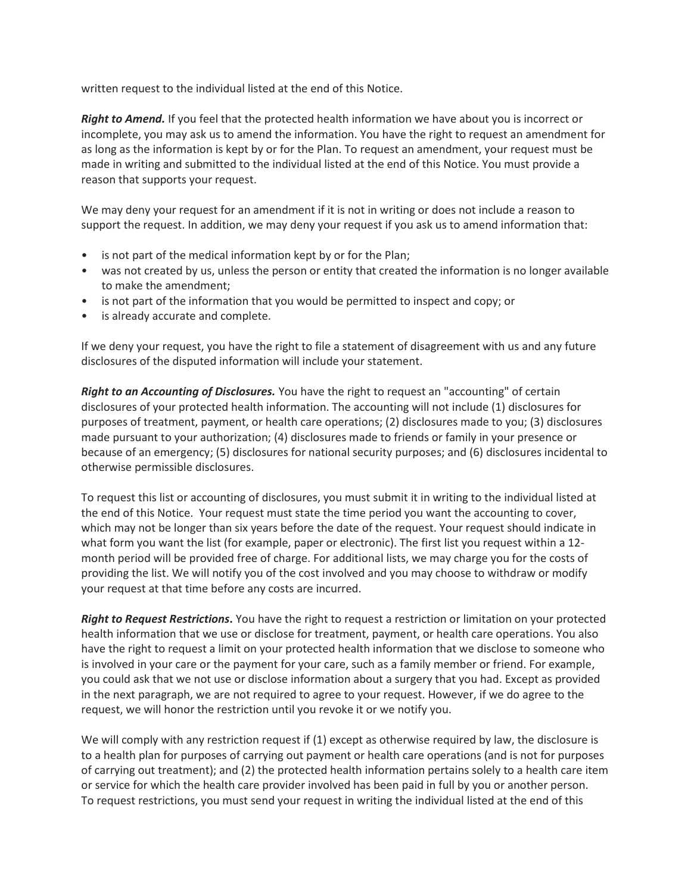written request to the individual listed at the end of this Notice.

*Right to Amend.* If you feel that the protected health information we have about you is incorrect or incomplete, you may ask us to amend the information. You have the right to request an amendment for as long as the information is kept by or for the Plan. To request an amendment, your request must be made in writing and submitted to the individual listed at the end of this Notice. You must provide a reason that supports your request.

We may deny your request for an amendment if it is not in writing or does not include a reason to support the request. In addition, we may deny your request if you ask us to amend information that:

- is not part of the medical information kept by or for the Plan;
- was not created by us, unless the person or entity that created the information is no longer available to make the amendment;
- is not part of the information that you would be permitted to inspect and copy; or
- is already accurate and complete.

If we deny your request, you have the right to file a statement of disagreement with us and any future disclosures of the disputed information will include your statement.

*Right to an Accounting of Disclosures.* You have the right to request an "accounting" of certain disclosures of your protected health information. The accounting will not include (1) disclosures for purposes of treatment, payment, or health care operations; (2) disclosures made to you; (3) disclosures made pursuant to your authorization; (4) disclosures made to friends or family in your presence or because of an emergency; (5) disclosures for national security purposes; and (6) disclosures incidental to otherwise permissible disclosures.

To request this list or accounting of disclosures, you must submit it in writing to the individual listed at the end of this Notice. Your request must state the time period you want the accounting to cover, which may not be longer than six years before the date of the request. Your request should indicate in what form you want the list (for example, paper or electronic). The first list you request within a 12 month period will be provided free of charge. For additional lists, we may charge you for the costs of providing the list. We will notify you of the cost involved and you may choose to withdraw or modify your request at that time before any costs are incurred.

*Right to Request Restrictions***.** You have the right to request a restriction or limitation on your protected health information that we use or disclose for treatment, payment, or health care operations. You also have the right to request a limit on your protected health information that we disclose to someone who is involved in your care or the payment for your care, such as a family member or friend. For example, you could ask that we not use or disclose information about a surgery that you had. Except as provided in the next paragraph, we are not required to agree to your request. However, if we do agree to the request, we will honor the restriction until you revoke it or we notify you.

We will comply with any restriction request if (1) except as otherwise required by law, the disclosure is to a health plan for purposes of carrying out payment or health care operations (and is not for purposes of carrying out treatment); and (2) the protected health information pertains solely to a health care item or service for which the health care provider involved has been paid in full by you or another person. To request restrictions, you must send your request in writing the individual listed at the end of this